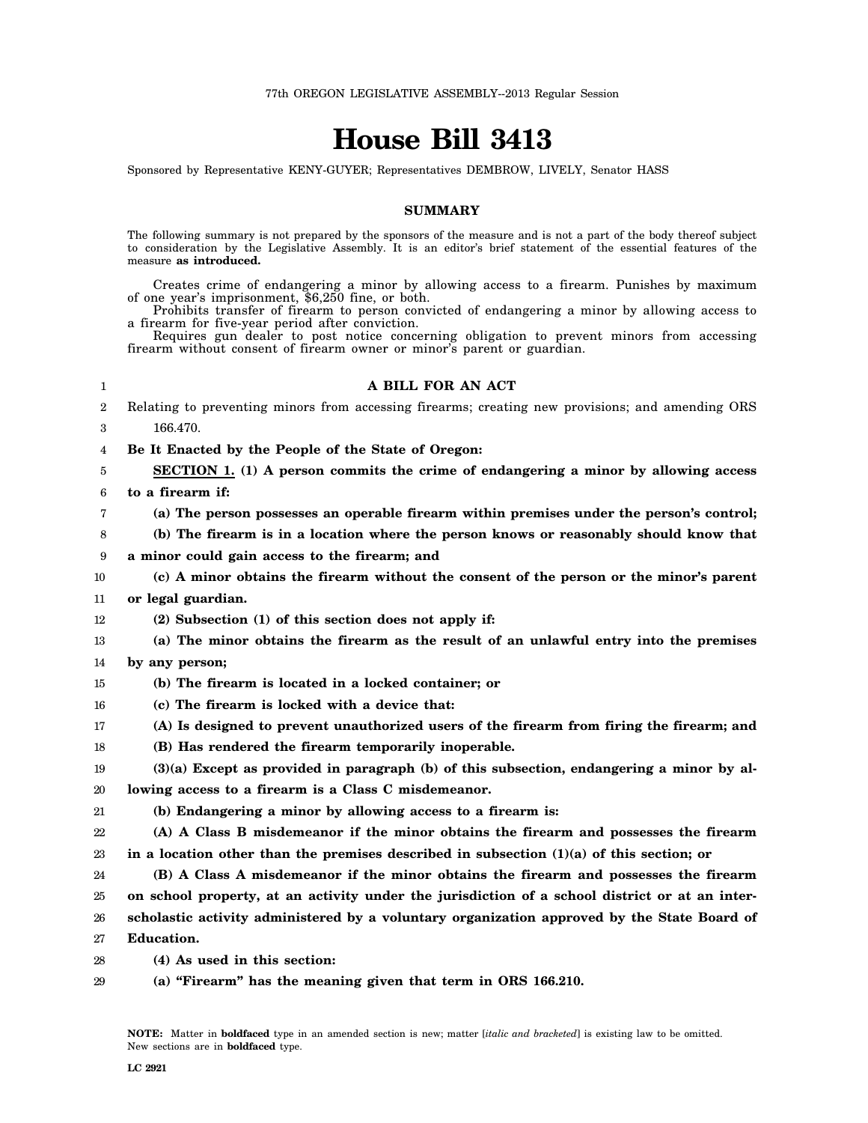# **House Bill 3413**

Sponsored by Representative KENY-GUYER; Representatives DEMBROW, LIVELY, Senator HASS

### **SUMMARY**

The following summary is not prepared by the sponsors of the measure and is not a part of the body thereof subject to consideration by the Legislative Assembly. It is an editor's brief statement of the essential features of the measure **as introduced.**

Creates crime of endangering a minor by allowing access to a firearm. Punishes by maximum of one year's imprisonment, \$6,250 fine, or both.

Prohibits transfer of firearm to person convicted of endangering a minor by allowing access to a firearm for five-year period after conviction.

Requires gun dealer to post notice concerning obligation to prevent minors from accessing firearm without consent of firearm owner or minor's parent or guardian.

#### 1

#### **A BILL FOR AN ACT**

2 3 Relating to preventing minors from accessing firearms; creating new provisions; and amending ORS 166.470.

4 **Be It Enacted by the People of the State of Oregon:**

5 6 **SECTION 1. (1) A person commits the crime of endangering a minor by allowing access to a firearm if:**

7 **(a) The person possesses an operable firearm within premises under the person's control;**

8 **(b) The firearm is in a location where the person knows or reasonably should know that**

9 **a minor could gain access to the firearm; and**

10 11 **(c) A minor obtains the firearm without the consent of the person or the minor's parent or legal guardian.**

12 **(2) Subsection (1) of this section does not apply if:**

13 14 **(a) The minor obtains the firearm as the result of an unlawful entry into the premises by any person;**

15 **(b) The firearm is located in a locked container; or**

- 16 **(c) The firearm is locked with a device that:**
- 17 **(A) Is designed to prevent unauthorized users of the firearm from firing the firearm; and**
- 18 **(B) Has rendered the firearm temporarily inoperable.**

19 20 **(3)(a) Except as provided in paragraph (b) of this subsection, endangering a minor by allowing access to a firearm is a Class C misdemeanor.**

21 **(b) Endangering a minor by allowing access to a firearm is:**

22 23 **(A) A Class B misdemeanor if the minor obtains the firearm and possesses the firearm in a location other than the premises described in subsection (1)(a) of this section; or**

24 25 **(B) A Class A misdemeanor if the minor obtains the firearm and possesses the firearm on school property, at an activity under the jurisdiction of a school district or at an inter-**

26 **scholastic activity administered by a voluntary organization approved by the State Board of**

27 **Education.**

28 **(4) As used in this section:**

29 **(a) "Firearm" has the meaning given that term in ORS 166.210.**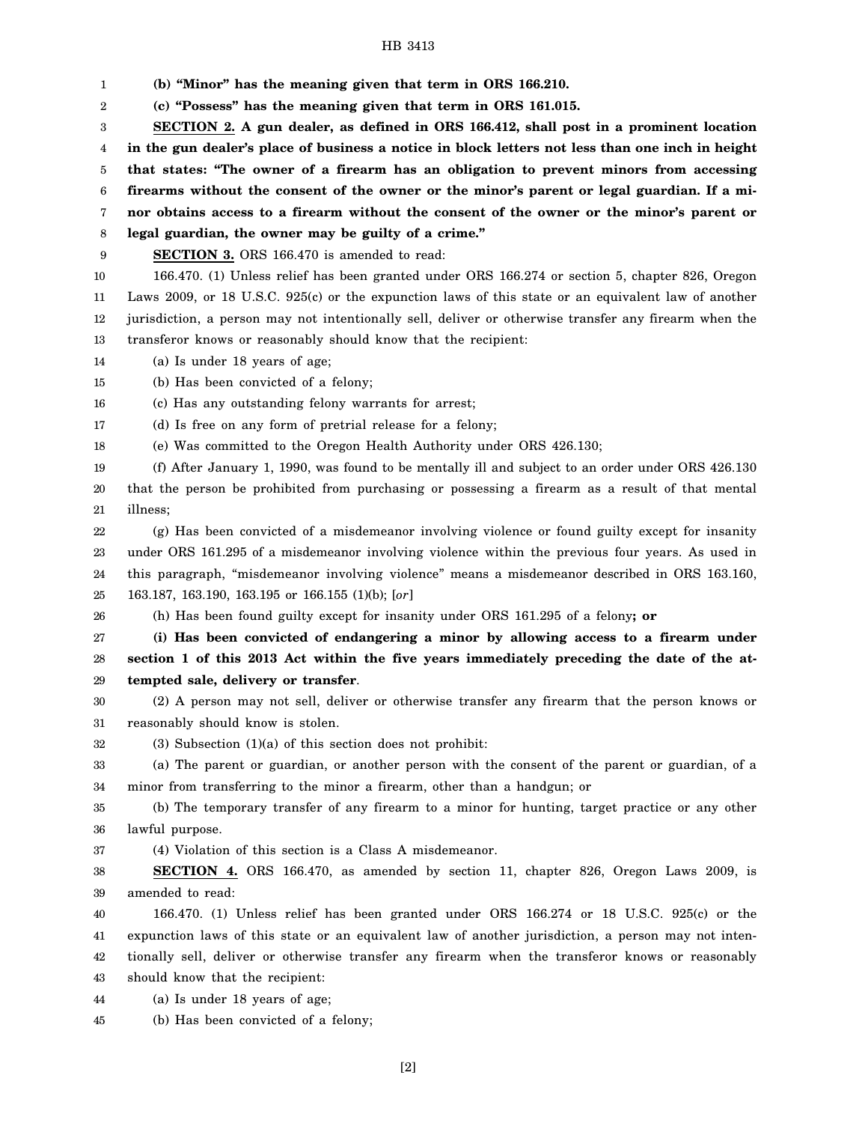## HB 3413

1 2 3 4 5 6 7 8 9 10 11 12 13 14 15 16 17 18 19 20 21 22 23 24 25 26 27 28 29 30 31 32 33 34 35 36 37 38 39 40 41 42 43 44 **(b) "Minor" has the meaning given that term in ORS 166.210. (c) "Possess" has the meaning given that term in ORS 161.015. SECTION 2. A gun dealer, as defined in ORS 166.412, shall post in a prominent location in the gun dealer's place of business a notice in block letters not less than one inch in height that states: "The owner of a firearm has an obligation to prevent minors from accessing firearms without the consent of the owner or the minor's parent or legal guardian. If a minor obtains access to a firearm without the consent of the owner or the minor's parent or legal guardian, the owner may be guilty of a crime." SECTION 3.** ORS 166.470 is amended to read: 166.470. (1) Unless relief has been granted under ORS 166.274 or section 5, chapter 826, Oregon Laws 2009, or 18 U.S.C. 925(c) or the expunction laws of this state or an equivalent law of another jurisdiction, a person may not intentionally sell, deliver or otherwise transfer any firearm when the transferor knows or reasonably should know that the recipient: (a) Is under 18 years of age; (b) Has been convicted of a felony; (c) Has any outstanding felony warrants for arrest; (d) Is free on any form of pretrial release for a felony; (e) Was committed to the Oregon Health Authority under ORS 426.130; (f) After January 1, 1990, was found to be mentally ill and subject to an order under ORS 426.130 that the person be prohibited from purchasing or possessing a firearm as a result of that mental illness; (g) Has been convicted of a misdemeanor involving violence or found guilty except for insanity under ORS 161.295 of a misdemeanor involving violence within the previous four years. As used in this paragraph, "misdemeanor involving violence" means a misdemeanor described in ORS 163.160, 163.187, 163.190, 163.195 or 166.155 (1)(b); [*or*] (h) Has been found guilty except for insanity under ORS 161.295 of a felony**; or (i) Has been convicted of endangering a minor by allowing access to a firearm under section 1 of this 2013 Act within the five years immediately preceding the date of the attempted sale, delivery or transfer**. (2) A person may not sell, deliver or otherwise transfer any firearm that the person knows or reasonably should know is stolen.  $(3)$  Subsection  $(1)(a)$  of this section does not prohibit: (a) The parent or guardian, or another person with the consent of the parent or guardian, of a minor from transferring to the minor a firearm, other than a handgun; or (b) The temporary transfer of any firearm to a minor for hunting, target practice or any other lawful purpose. (4) Violation of this section is a Class A misdemeanor. **SECTION 4.** ORS 166.470, as amended by section 11, chapter 826, Oregon Laws 2009, is amended to read: 166.470. (1) Unless relief has been granted under ORS 166.274 or 18 U.S.C. 925(c) or the expunction laws of this state or an equivalent law of another jurisdiction, a person may not intentionally sell, deliver or otherwise transfer any firearm when the transferor knows or reasonably should know that the recipient: (a) Is under 18 years of age;

[2]

(b) Has been convicted of a felony;

45